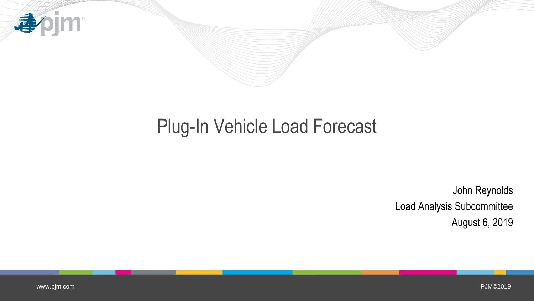

# Plug-In Vehicle Load Forecast

John Reynolds Load Analysis Subcommittee August 6, 2019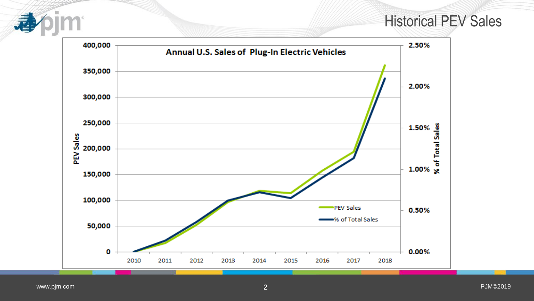## Historical PEV Sales

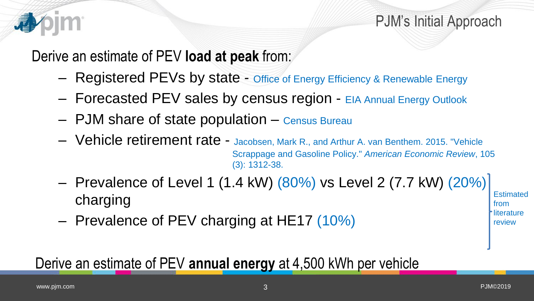

Derive an estimate of PEV **load at peak** from:

- Registered PEVs by state Office of Energy Efficiency & Renewable Energy
- Forecasted PEV sales by census region EIA Annual Energy Outlook
- PJM share of state population Census Bureau
- Vehicle retirement rate Jacobsen, Mark R., and Arthur A. van Benthem. 2015. "Vehicle Scrappage and Gasoline Policy." *American Economic Review*, 105 (3): 1312-38.
- Prevalence of Level 1 (1.4 kW) (80%) vs Level 2 (7.7 kW) (20%) charging
- Prevalence of PEV charging at HE17 (10%)

Derive an estimate of PEV **annual energy** at 4,500 kWh per vehicle

**Estimated** from literature review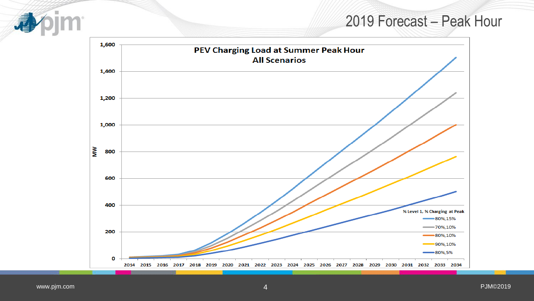## 2019 Forecast – Peak Hour

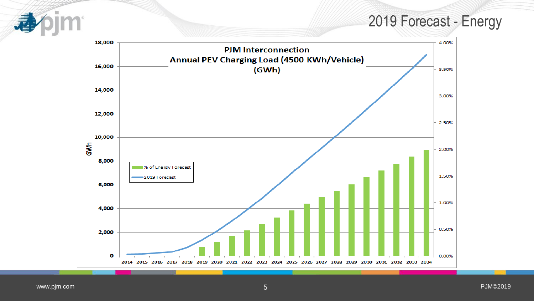## 2019 Forecast - Energy



www.pjm.com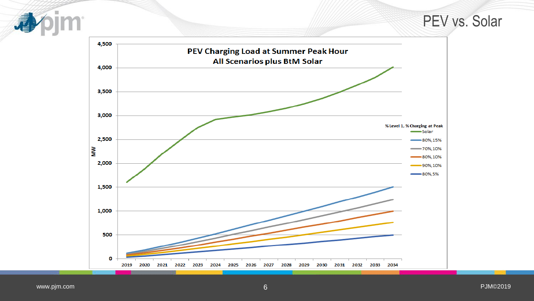PEV vs. Solar



www.pjm.com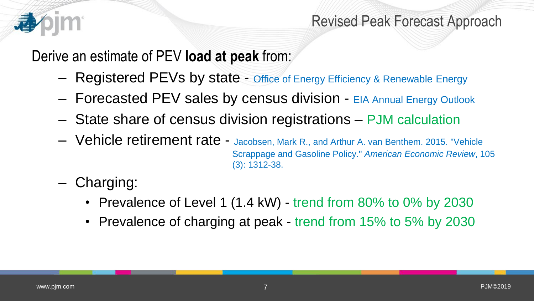

## Revised Peak Forecast Approach

Derive an estimate of PEV **load at peak** from:

- Registered PEVs by state Office of Energy Efficiency & Renewable Energy
- Forecasted PEV sales by census division EIA Annual Energy Outlook
- State share of census division registrations PJM calculation
- Vehicle retirement rate Jacobsen, Mark R., and Arthur A. van Benthem. 2015. "Vehicle Scrappage and Gasoline Policy." *American Economic Review*, 105 (3): 1312-38.
- Charging:
	- Prevalence of Level 1 (1.4 kW) trend from 80% to 0% by 2030
	- Prevalence of charging at peak trend from 15% to 5% by 2030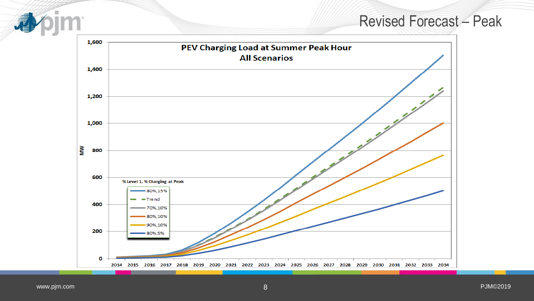#### Revised Forecast – Peak

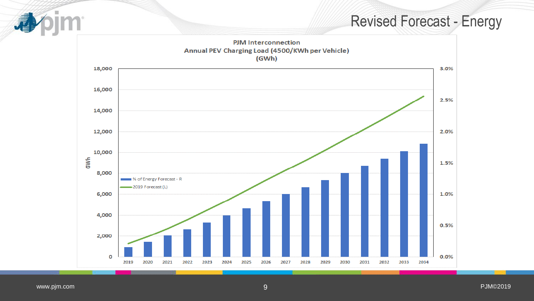## Revised Forecast - Energy